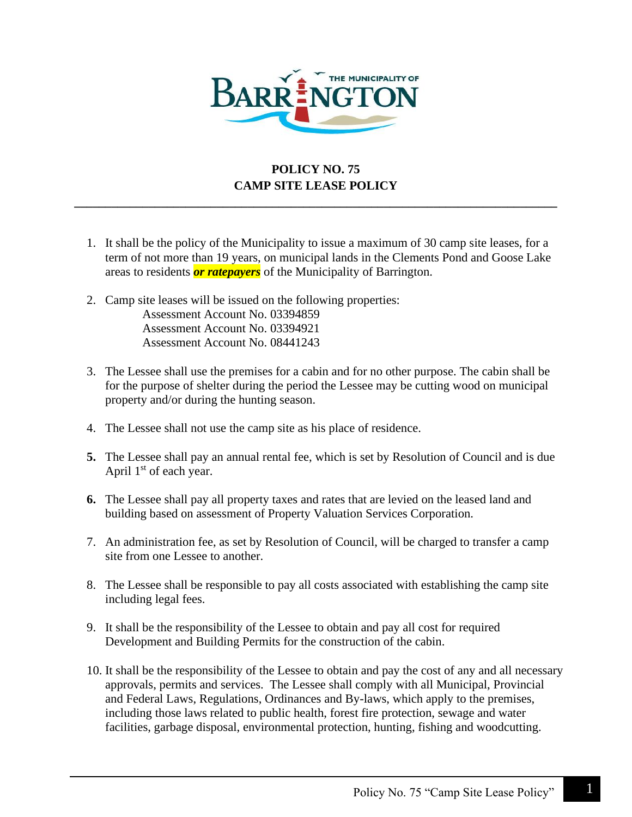

## **POLICY NO. 75 CAMP SITE LEASE POLICY**

**\_\_\_\_\_\_\_\_\_\_\_\_\_\_\_\_\_\_\_\_\_\_\_\_\_\_\_\_\_\_\_\_\_\_\_\_\_\_\_\_\_\_\_\_\_\_\_\_\_\_\_\_\_\_\_\_\_\_\_\_\_\_\_\_\_\_\_\_\_\_\_\_\_\_\_\_\_\_**

- 1. It shall be the policy of the Municipality to issue a maximum of 30 camp site leases, for a term of not more than 19 years, on municipal lands in the Clements Pond and Goose Lake areas to residents *or ratepayers* of the Municipality of Barrington.
- 2. Camp site leases will be issued on the following properties: Assessment Account No. 03394859 Assessment Account No. 03394921 Assessment Account No. 08441243
- 3. The Lessee shall use the premises for a cabin and for no other purpose. The cabin shall be for the purpose of shelter during the period the Lessee may be cutting wood on municipal property and/or during the hunting season.
- 4. The Lessee shall not use the camp site as his place of residence.
- **5.** The Lessee shall pay an annual rental fee, which is set by Resolution of Council and is due April  $1<sup>st</sup>$  of each year.
- **6.** The Lessee shall pay all property taxes and rates that are levied on the leased land and building based on assessment of Property Valuation Services Corporation.
- 7. An administration fee, as set by Resolution of Council, will be charged to transfer a camp site from one Lessee to another.
- 8. The Lessee shall be responsible to pay all costs associated with establishing the camp site including legal fees.
- 9. It shall be the responsibility of the Lessee to obtain and pay all cost for required Development and Building Permits for the construction of the cabin.
- 10. It shall be the responsibility of the Lessee to obtain and pay the cost of any and all necessary approvals, permits and services. The Lessee shall comply with all Municipal, Provincial and Federal Laws, Regulations, Ordinances and By-laws, which apply to the premises, including those laws related to public health, forest fire protection, sewage and water facilities, garbage disposal, environmental protection, hunting, fishing and woodcutting.